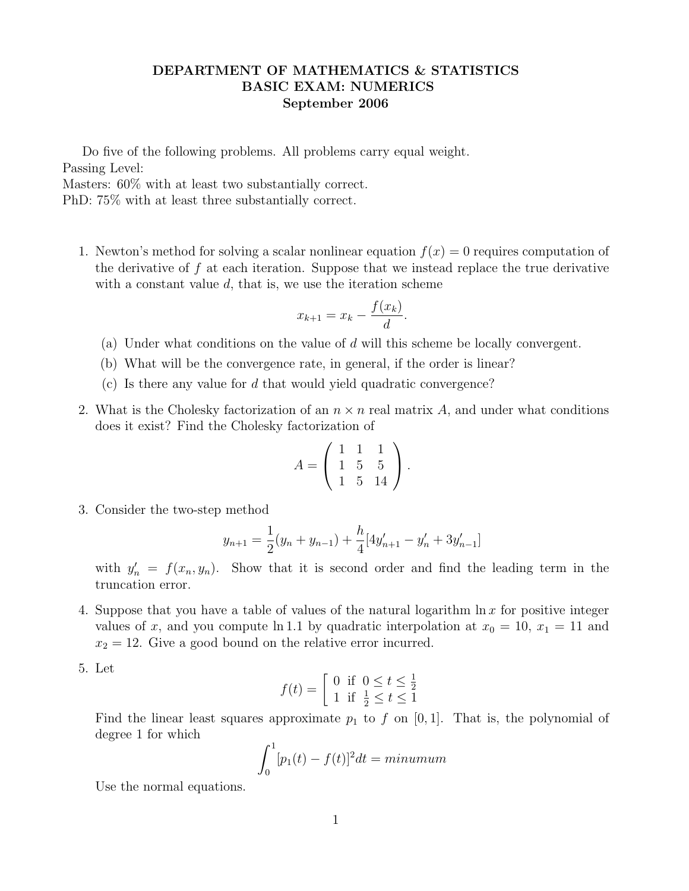## DEPARTMENT OF MATHEMATICS & STATISTICS BASIC EXAM: NUMERICS September 2006

Do five of the following problems. All problems carry equal weight. Passing Level:

Masters: 60% with at least two substantially correct.

PhD: 75% with at least three substantially correct.

1. Newton's method for solving a scalar nonlinear equation  $f(x) = 0$  requires computation of the derivative of  $f$  at each iteration. Suppose that we instead replace the true derivative with a constant value  $d$ , that is, we use the iteration scheme

$$
x_{k+1} = x_k - \frac{f(x_k)}{d}.
$$

- (a) Under what conditions on the value of d will this scheme be locally convergent.
- (b) What will be the convergence rate, in general, if the order is linear?
- (c) Is there any value for  $d$  that would yield quadratic convergence?
- 2. What is the Cholesky factorization of an  $n \times n$  real matrix A, and under what conditions does it exist? Find the Cholesky factorization of

$$
A = \left(\begin{array}{rrr} 1 & 1 & 1 \\ 1 & 5 & 5 \\ 1 & 5 & 14 \end{array}\right).
$$

3. Consider the two-step method

$$
y_{n+1} = \frac{1}{2}(y_n + y_{n-1}) + \frac{h}{4}[4y'_{n+1} - y'_{n} + 3y'_{n-1}]
$$

with  $y'_n = f(x_n, y_n)$ . Show that it is second order and find the leading term in the truncation error.

- 4. Suppose that you have a table of values of the natural logarithm  $\ln x$  for positive integer values of x, and you compute ln 1.1 by quadratic interpolation at  $x_0 = 10$ ,  $x_1 = 11$  and  $x_2 = 12$ . Give a good bound on the relative error incurred.
- 5. Let

$$
f(t) = \begin{bmatrix} 0 & \text{if } 0 \le t \le \frac{1}{2} \\ 1 & \text{if } \frac{1}{2} \le t \le 1 \end{bmatrix}
$$

Find the linear least squares approximate  $p_1$  to f on [0, 1]. That is, the polynomial of degree 1 for which

$$
\int_0^1 [p_1(t) - f(t)]^2 dt = \minumum
$$

Use the normal equations.